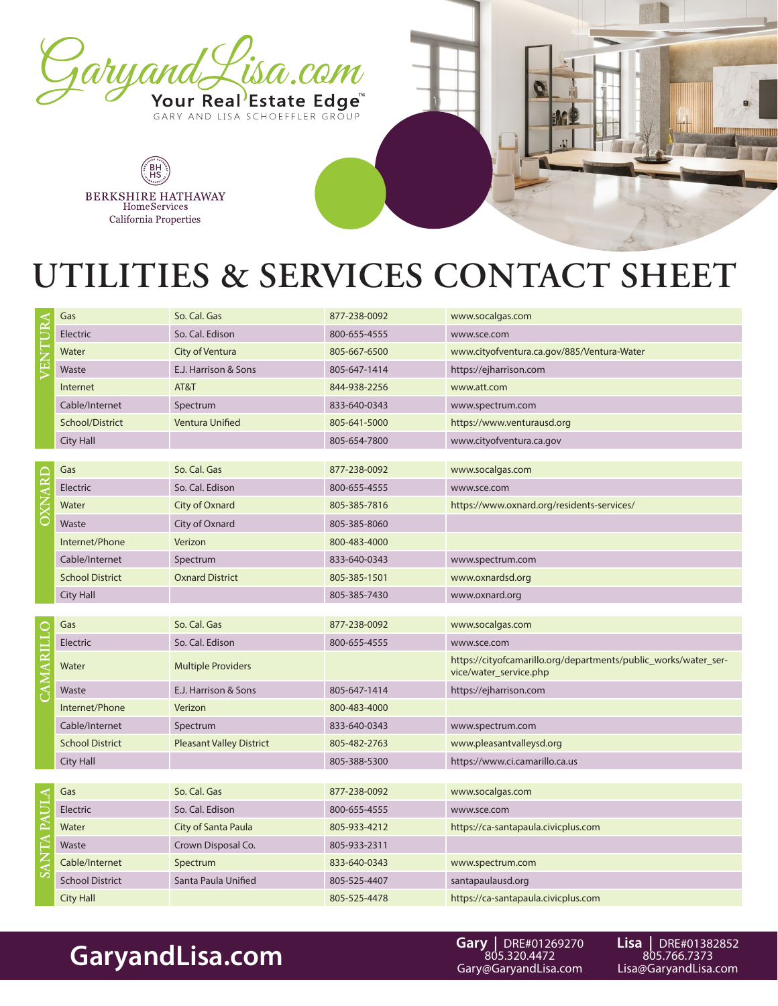

BH<br>HS BERKSHIRE HATHAWAY HomeServices California Properties



## **UTILITIES & SERVICES CONTACT SHEET**

| VENTURA     | Gas                    | So. Cal. Gas                    | 877-238-0092 | www.socalgas.com                                                                          |
|-------------|------------------------|---------------------------------|--------------|-------------------------------------------------------------------------------------------|
|             | Electric               | So. Cal. Edison                 | 800-655-4555 | www.sce.com                                                                               |
|             | Water                  | City of Ventura                 | 805-667-6500 | www.cityofventura.ca.gov/885/Ventura-Water                                                |
|             | Waste                  | E.J. Harrison & Sons            | 805-647-1414 | https://ejharrison.com                                                                    |
|             | Internet               | AT&T                            | 844-938-2256 | www.att.com                                                                               |
|             | Cable/Internet         | Spectrum                        | 833-640-0343 | www.spectrum.com                                                                          |
|             | School/District        | Ventura Unified                 | 805-641-5000 | https://www.venturausd.org                                                                |
|             | <b>City Hall</b>       |                                 | 805-654-7800 | www.cityofventura.ca.gov                                                                  |
|             |                        |                                 |              |                                                                                           |
| OXNARD      | Gas                    | So. Cal. Gas                    | 877-238-0092 | www.socalgas.com                                                                          |
|             | Electric               | So. Cal. Edison                 | 800-655-4555 | www.sce.com                                                                               |
|             | Water                  | City of Oxnard                  | 805-385-7816 | https://www.oxnard.org/residents-services/                                                |
|             | Waste                  | City of Oxnard                  | 805-385-8060 |                                                                                           |
|             | Internet/Phone         | Verizon                         | 800-483-4000 |                                                                                           |
|             | Cable/Internet         | Spectrum                        | 833-640-0343 | www.spectrum.com                                                                          |
|             | <b>School District</b> | <b>Oxnard District</b>          | 805-385-1501 | www.oxnardsd.org                                                                          |
|             | <b>City Hall</b>       |                                 | 805-385-7430 | www.oxnard.org                                                                            |
|             |                        |                                 |              |                                                                                           |
|             | Gas                    | So. Cal. Gas                    | 877-238-0092 | www.socalgas.com                                                                          |
|             | Electric               | So. Cal. Edison                 | 800-655-4555 | www.sce.com                                                                               |
| CAMARILLO   | Water                  | <b>Multiple Providers</b>       |              | https://cityofcamarillo.org/departments/public_works/water_ser-<br>vice/water_service.php |
|             | Waste                  | E.J. Harrison & Sons            | 805-647-1414 | https://ejharrison.com                                                                    |
|             | Internet/Phone         | Verizon                         | 800-483-4000 |                                                                                           |
|             | Cable/Internet         | Spectrum                        | 833-640-0343 | www.spectrum.com                                                                          |
|             | <b>School District</b> | <b>Pleasant Valley District</b> | 805-482-2763 | www.pleasantvalleysd.org                                                                  |
|             | City Hall              |                                 | 805-388-5300 | https://www.ci.camarillo.ca.us                                                            |
|             |                        |                                 |              |                                                                                           |
| SANTA PAULA | Gas                    | So. Cal. Gas                    | 877-238-0092 | www.socalgas.com                                                                          |
|             | Electric               | So. Cal. Edison                 | 800-655-4555 | www.sce.com                                                                               |
|             | Water                  | City of Santa Paula             | 805-933-4212 | https://ca-santapaula.civicplus.com                                                       |
|             |                        | Crown Disposal Co.              | 805-933-2311 |                                                                                           |
|             | Waste                  |                                 |              |                                                                                           |
|             | Cable/Internet         | Spectrum                        | 833-640-0343 | www.spectrum.com                                                                          |
|             | <b>School District</b> | Santa Paula Unified             | 805-525-4407 | santapaulausd.org                                                                         |
|             | <b>City Hall</b>       |                                 | 805-525-4478 | https://ca-santapaula.civicplus.com                                                       |

## GaryandLisa.com Gary URE#01269270 Lisa | DRE#01382852<br>805.766.7373 **GaryandLisa.com Lisa@GaryandLisa.com** Elsa@GaryandLisa.com

**Gary |** DRE#01269270 805.320.4472 Gary@GaryandLisa.com

**Lisa |** DRE#01382852